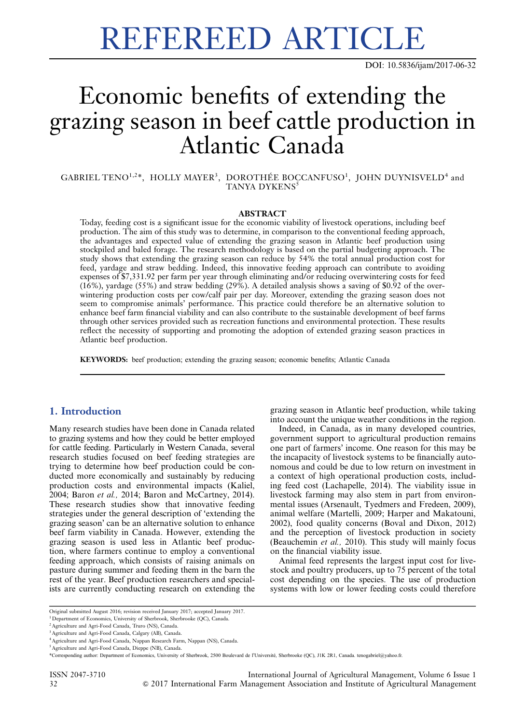DOI: 10.5836/ijam/2017-06-32

# Economic benefits of extending the grazing season in beef cattle production in Atlantic Canada

GABRIEL TENO<sup>1,2\*</sup>, HOLLY MAYER<sup>3</sup>, DOROTHÉE BOCCANFUSO<sup>1</sup>, JOHN DUYNISVELD<sup>4</sup> and TANYA DYKENS<sup>5</sup>

#### ABSTRACT

Today, feeding cost is a significant issue for the economic viability of livestock operations, including beef production. The aim of this study was to determine, in comparison to the conventional feeding approach, the advantages and expected value of extending the grazing season in Atlantic beef production using stockpiled and baled forage. The research methodology is based on the partial budgeting approach. The study shows that extending the grazing season can reduce by 54% the total annual production cost for feed, yardage and straw bedding. Indeed, this innovative feeding approach can contribute to avoiding expenses of \$7,331.92 per farm per year through eliminating and/or reducing overwintering costs for feed (16%), yardage (55%) and straw bedding (29%). A detailed analysis shows a saving of \$0.92 of the overwintering production costs per cow/calf pair per day. Moreover, extending the grazing season does not seem to compromise animals' performance. This practice could therefore be an alternative solution to enhance beef farm financial viability and can also contribute to the sustainable development of beef farms through other services provided such as recreation functions and environmental protection. These results reflect the necessity of supporting and promoting the adoption of extended grazing season practices in Atlantic beef production.

KEYWORDS: beef production; extending the grazing season; economic benefits; Atlantic Canada

# 1. Introduction

Many research studies have been done in Canada related to grazing systems and how they could be better employed for cattle feeding. Particularly in Western Canada, several research studies focused on beef feeding strategies are trying to determine how beef production could be conducted more economically and sustainably by reducing production costs and environmental impacts (Kaliel, 2004; Baron et al., 2014; Baron and McCartney, 2014). These research studies show that innovative feeding strategies under the general description of 'extending the grazing season' can be an alternative solution to enhance beef farm viability in Canada. However, extending the grazing season is used less in Atlantic beef production, where farmers continue to employ a conventional feeding approach, which consists of raising animals on pasture during summer and feeding them in the barn the rest of the year. Beef production researchers and specialists are currently conducting research on extending the grazing season in Atlantic beef production, while taking into account the unique weather conditions in the region.

Indeed, in Canada, as in many developed countries, government support to agricultural production remains one part of farmers' income. One reason for this may be the incapacity of livestock systems to be financially autonomous and could be due to low return on investment in a context of high operational production costs, including feed cost (Lachapelle, 2014). The viability issue in livestock farming may also stem in part from environmental issues (Arsenault, Tyedmers and Fredeen, 2009), animal welfare (Martelli, 2009; Harper and Makatouni, 2002), food quality concerns (Boval and Dixon, 2012) and the perception of livestock production in society (Beauchemin et al., 2010). This study will mainly focus on the financial viability issue.

Animal feed represents the largest input cost for livestock and poultry producers, up to 75 percent of the total cost depending on the species. The use of production systems with low or lower feeding costs could therefore

ISSN 2047-3710 International Journal of Agricultural Management, Volume 6 Issue 1 32 & 2017 International Farm Management Association and Institute of Agricultural Management

Original submitted August 2016; revision received January 2017; accepted January 2017.

<sup>&</sup>lt;sup>1</sup> Department of Economics, University of Sherbrook, Sherbrooke (QC), Canada.

<sup>2</sup>Agriculture and Agri-Food Canada, Truro (NS), Canada.

<sup>3</sup>Agriculture and Agri-Food Canada, Calgary (AB), Canada.

<sup>4</sup>Agriculture and Agri-Food Canada, Nappan Research Farm, Nappan (NS), Canada.

<sup>5</sup>Agriculture and Agri-Food Canada, Dieppe (NB), Canada.

<sup>\*</sup>Corresponding author: Department of Economics, University of Sherbrook, 2500 Boulevard de l'Université, Sherbrooke (QC), J1K 2R1, Canada. tenogabriel@yahoo.fr.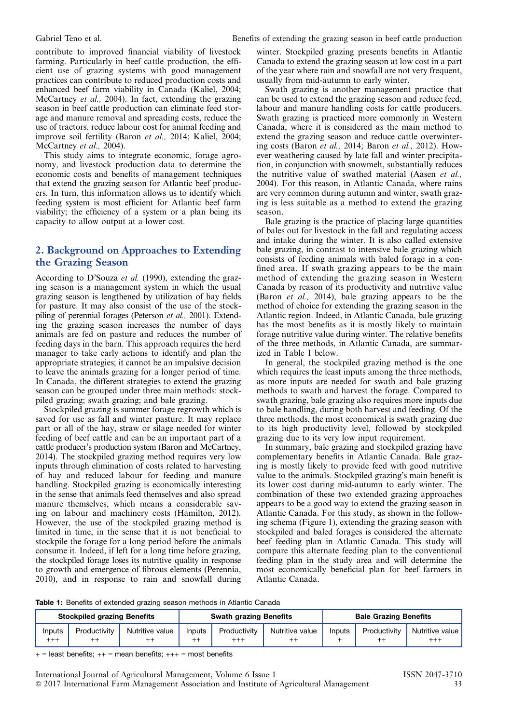contribute to improved financial viability of livestock farming. Particularly in beef cattle production, the efficient use of grazing systems with good management practices can contribute to reduced production costs and enhanced beef farm viability in Canada (Kaliel, 2004; McCartney et al., 2004). In fact, extending the grazing season in beef cattle production can eliminate feed storage and manure removal and spreading costs, reduce the use of tractors, reduce labour cost for animal feeding and improve soil fertility (Baron et al., 2014; Kaliel, 2004; McCartney et al., 2004).

This study aims to integrate economic, forage agronomy, and livestock production data to determine the economic costs and benefits of management techniques that extend the grazing season for Atlantic beef producers. In turn, this information allows us to identify which feeding system is most efficient for Atlantic beef farm viability; the efficiency of a system or a plan being its capacity to allow output at a lower cost.

# 2. Background on Approaches to Extending the Grazing Season

According to D'Souza et al. (1990), extending the grazing season is a management system in which the usual grazing season is lengthened by utilization of hay fields for pasture. It may also consist of the use of the stockpiling of perennial forages (Peterson et al., 2001). Extending the grazing season increases the number of days animals are fed on pasture and reduces the number of feeding days in the barn. This approach requires the herd manager to take early actions to identify and plan the appropriate strategies; it cannot be an impulsive decision to leave the animals grazing for a longer period of time. In Canada, the different strategies to extend the grazing season can be grouped under three main methods: stockpiled grazing; swath grazing; and bale grazing.

Stockpiled grazing is summer forage regrowth which is saved for use as fall and winter pasture. It may replace part or all of the hay, straw or silage needed for winter feeding of beef cattle and can be an important part of a cattle producer's production system (Baron and McCartney, 2014). The stockpiled grazing method requires very low inputs through elimination of costs related to harvesting of hay and reduced labour for feeding and manure handling. Stockpiled grazing is economically interesting in the sense that animals feed themselves and also spread manure themselves, which means a considerable saving on labour and machinery costs (Hamilton, 2012). However, the use of the stockpiled grazing method is limited in time, in the sense that it is not beneficial to stockpile the forage for a long period before the animals consume it. Indeed, if left for a long time before grazing, the stockpiled forage loses its nutritive quality in response to growth and emergence of fibrous elements (Perennia, 2010), and in response to rain and snowfall during

winter. Stockpiled grazing presents benefits in Atlantic Canada to extend the grazing season at low cost in a part of the year where rain and snowfall are not very frequent, usually from mid-autumn to early winter.

Swath grazing is another management practice that can be used to extend the grazing season and reduce feed, labour and manure handling costs for cattle producers. Swath grazing is practiced more commonly in Western Canada, where it is considered as the main method to extend the grazing season and reduce cattle overwintering costs (Baron et al., 2014; Baron et al., 2012). However weathering caused by late fall and winter precipitation, in conjunction with snowmelt, substantially reduces the nutritive value of swathed material (Aasen et al., 2004). For this reason, in Atlantic Canada, where rains are very common during autumn and winter, swath grazing is less suitable as a method to extend the grazing season.

Bale grazing is the practice of placing large quantities of bales out for livestock in the fall and regulating access and intake during the winter. It is also called extensive bale grazing, in contrast to intensive bale grazing which consists of feeding animals with baled forage in a confined area. If swath grazing appears to be the main method of extending the grazing season in Western Canada by reason of its productivity and nutritive value (Baron et al., 2014), bale grazing appears to be the method of choice for extending the grazing season in the Atlantic region. Indeed, in Atlantic Canada, bale grazing has the most benefits as it is mostly likely to maintain forage nutritive value during winter. The relative benefits of the three methods, in Atlantic Canada, are summarized in Table 1 below.

In general, the stockpiled grazing method is the one which requires the least inputs among the three methods, as more inputs are needed for swath and bale grazing methods to swath and harvest the forage. Compared to swath grazing, bale grazing also requires more inputs due to bale handling, during both harvest and feeding. Of the three methods, the most economical is swath grazing due to its high productivity level, followed by stockpiled grazing due to its very low input requirement.

In summary, bale grazing and stockpiled grazing have complementary benefits in Atlantic Canada. Bale grazing is mostly likely to provide feed with good nutritive value to the animals. Stockpiled grazing's main benefit is its lower cost during mid-autumn to early winter. The combination of these two extended grazing approaches appears to be a good way to extend the grazing season in Atlantic Canada. For this study, as shown in the following schema [\(Figure 1\)](#page-2-0), extending the grazing season with stockpiled and baled forages is considered the alternate beef feeding plan in Atlantic Canada. This study will compare this alternate feeding plan to the conventional feeding plan in the study area and will determine the most economically beneficial plan for beef farmers in Atlantic Canada.

Table 1: Benefits of extended grazing season methods in Atlantic Canada

| <b>Stockpiled grazing Benefits</b> |                 |                 | <b>Swath grazing Benefits</b> |              |                 | <b>Bale Grazing Benefits</b> |              |                   |
|------------------------------------|-----------------|-----------------|-------------------------------|--------------|-----------------|------------------------------|--------------|-------------------|
| Inputs                             | Productivity    | Nutritive value | Inputs                        | Productivity | Nutritive value | Inputs                       | Productivity | Nutritive value l |
| $^{+++}$                           | $^{\mathrm{+}}$ | $^{++}$         | $^{\mathrm{+}}$               | $^{+++}$     |                 |                              | $^{++}$      | $^{\mathrm{+++}}$ |

 $+$  = least benefits:  $++$  = mean benefits:  $++$  = most benefits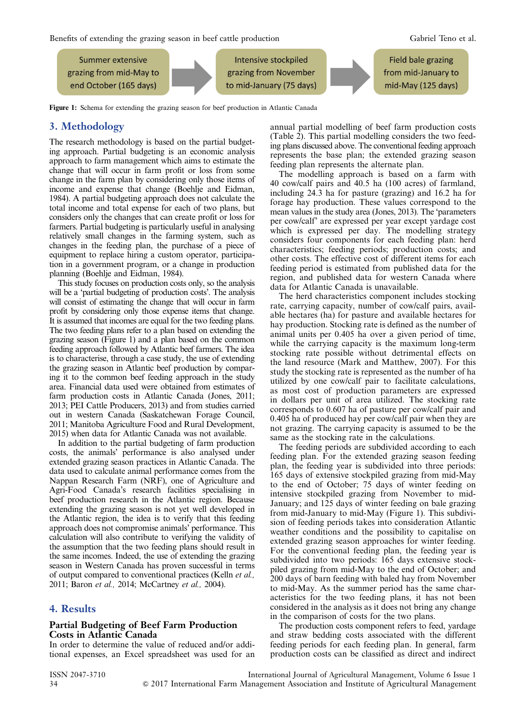<span id="page-2-0"></span>Benefits of extending the grazing season in beef cattle production Gabriel Teno et al.



Figure 1: Schema for extending the grazing season for beef production in Atlantic Canada

# 3. Methodology

The research methodology is based on the partial budgeting approach. Partial budgeting is an economic analysis approach to farm management which aims to estimate the change that will occur in farm profit or loss from some change in the farm plan by considering only those items of income and expense that change (Boehlje and Eidman, 1984). A partial budgeting approach does not calculate the total income and total expense for each of two plans, but considers only the changes that can create profit or loss for farmers. Partial budgeting is particularly useful in analysing relatively small changes in the farming system, such as changes in the feeding plan, the purchase of a piece of equipment to replace hiring a custom operator, participation in a government program, or a change in production planning (Boehlje and Eidman, 1984).

This study focuses on production costs only, so the analysis will be a 'partial budgeting of production costs'. The analysis will consist of estimating the change that will occur in farm profit by considering only those expense items that change. It is assumed that incomes are equal for the two feeding plans. The two feeding plans refer to a plan based on extending the grazing season (Figure 1) and a plan based on the common feeding approach followed by Atlantic beef farmers. The idea is to characterise, through a case study, the use of extending the grazing season in Atlantic beef production by comparing it to the common beef feeding approach in the study area. Financial data used were obtained from estimates of farm production costs in Atlantic Canada (Jones, 2011; 2013; PEI Cattle Producers, 2013) and from studies carried out in western Canada (Saskatchewan Forage Council, 2011; Manitoba Agriculture Food and Rural Development, 2015) when data for Atlantic Canada was not available.

In addition to the partial budgeting of farm production costs, the animals' performance is also analysed under extended grazing season practices in Atlantic Canada. The data used to calculate animal performance comes from the Nappan Research Farm (NRF), one of Agriculture and Agri-Food Canada's research facilities specialising in beef production research in the Atlantic region. Because extending the grazing season is not yet well developed in the Atlantic region, the idea is to verify that this feeding approach does not compromise animals' performance. This calculation will also contribute to verifying the validity of the assumption that the two feeding plans should result in the same incomes. Indeed, the use of extending the grazing season in Western Canada has proven successful in terms of output compared to conventional practices (Kelln et al., 2011; Baron et al., 2014; McCartney et al., 2004).

# 4. Results

#### Partial Budgeting of Beef Farm Production Costs in Atlantic Canada

In order to determine the value of reduced and/or additional expenses, an Excel spreadsheet was used for an annual partial modelling of beef farm production costs ([Table 2\)](#page-3-0). This partial modelling considers the two feeding plans discussed above. The conventional feeding approach represents the base plan; the extended grazing season feeding plan represents the alternate plan.

The modelling approach is based on a farm with 40 cow/calf pairs and 40.5 ha (100 acres) of farmland, including 24.3 ha for pasture (grazing) and 16.2 ha for forage hay production. These values correspond to the mean values in the study area (Jones, 2013). The 'parameters per cow/calf' are expressed per year except yardage cost which is expressed per day. The modelling strategy considers four components for each feeding plan: herd characteristics; feeding periods; production costs; and other costs. The effective cost of different items for each feeding period is estimated from published data for the region, and published data for western Canada where data for Atlantic Canada is unavailable.

The herd characteristics component includes stocking rate, carrying capacity, number of cow/calf pairs, available hectares (ha) for pasture and available hectares for hay production. Stocking rate is defined as the number of animal units per 0.405 ha over a given period of time, while the carrying capacity is the maximum long-term stocking rate possible without detrimental effects on the land resource (Mark and Matthew, 2007). For this study the stocking rate is represented as the number of ha utilized by one cow/calf pair to facilitate calculations, as most cost of production parameters are expressed in dollars per unit of area utilized. The stocking rate corresponds to 0.607 ha of pasture per cow/calf pair and 0.405 ha of produced hay per cow/calf pair when they are not grazing. The carrying capacity is assumed to be the same as the stocking rate in the calculations.

The feeding periods are subdivided according to each feeding plan. For the extended grazing season feeding plan, the feeding year is subdivided into three periods: 165 days of extensive stockpiled grazing from mid-May to the end of October; 75 days of winter feeding on intensive stockpiled grazing from November to mid-January; and 125 days of winter feeding on bale grazing from mid-January to mid-May (Figure 1). This subdivision of feeding periods takes into consideration Atlantic weather conditions and the possibility to capitalise on extended grazing season approaches for winter feeding. For the conventional feeding plan, the feeding year is subdivided into two periods: 165 days extensive stockpiled grazing from mid-May to the end of October; and 200 days of barn feeding with baled hay from November to mid-May. As the summer period has the same characteristics for the two feeding plans, it has not been considered in the analysis as it does not bring any change in the comparison of costs for the two plans.

The production costs component refers to feed, yardage and straw bedding costs associated with the different feeding periods for each feeding plan. In general, farm production costs can be classified as direct and indirect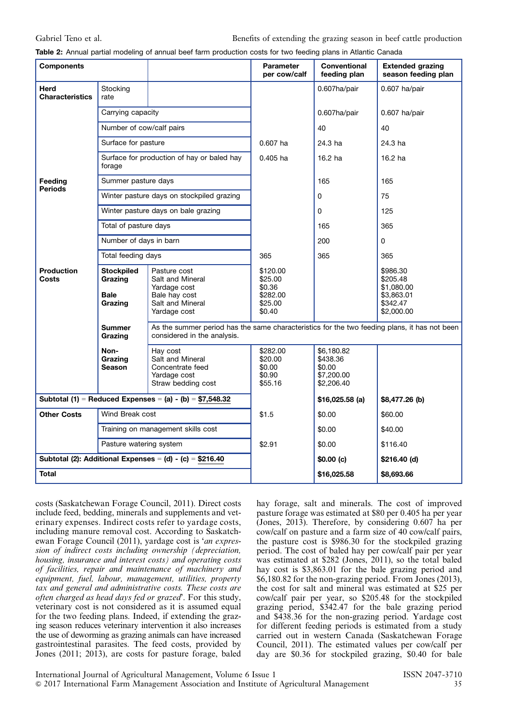<span id="page-3-0"></span>Table 2: Annual partial modeling of annual beef farm production costs for two feeding plans in Atlantic Canada

| <b>Components</b>                                         |                                                        |                                                                                                       | <b>Parameter</b><br>per cow/calf                                                             | <b>Conventional</b><br>feeding plan                          | <b>Extended grazing</b><br>season feeding plan                             |  |
|-----------------------------------------------------------|--------------------------------------------------------|-------------------------------------------------------------------------------------------------------|----------------------------------------------------------------------------------------------|--------------------------------------------------------------|----------------------------------------------------------------------------|--|
| Herd<br><b>Characteristics</b>                            | Stocking<br>rate                                       |                                                                                                       |                                                                                              | 0.607ha/pair                                                 | 0.607 ha/pair                                                              |  |
|                                                           | Carrying capacity                                      |                                                                                                       |                                                                                              | 0.607ha/pair                                                 | 0.607 ha/pair                                                              |  |
|                                                           | Number of cow/calf pairs<br>Surface for pasture        |                                                                                                       |                                                                                              | 40                                                           | 40                                                                         |  |
|                                                           |                                                        |                                                                                                       | $0.607$ ha                                                                                   | 24.3 ha                                                      | 24.3 ha                                                                    |  |
|                                                           | forage                                                 | Surface for production of hay or baled hay                                                            | $0.405$ ha                                                                                   | 16.2 ha                                                      | 16.2 ha                                                                    |  |
| Feeding<br><b>Periods</b>                                 | Summer pasture days                                    |                                                                                                       |                                                                                              | 165                                                          | 165                                                                        |  |
|                                                           |                                                        | Winter pasture days on stockpiled grazing                                                             |                                                                                              | 0                                                            | 75                                                                         |  |
|                                                           |                                                        | Winter pasture days on bale grazing                                                                   |                                                                                              | 0                                                            | 125                                                                        |  |
|                                                           | Total of pasture days                                  |                                                                                                       |                                                                                              | 165                                                          | 365                                                                        |  |
|                                                           | Number of days in barn                                 |                                                                                                       |                                                                                              | 200                                                          | $\Omega$                                                                   |  |
|                                                           | Total feeding days                                     |                                                                                                       | 365                                                                                          | 365                                                          | 365                                                                        |  |
| <b>Production</b><br>Costs                                | <b>Stockpiled</b><br>Grazing<br><b>Bale</b><br>Grazing | Pasture cost<br>Salt and Mineral<br>Yardage cost<br>Bale hay cost<br>Salt and Mineral<br>Yardage cost | \$120.00<br>\$25.00<br>\$0.36<br>\$282.00<br>\$25.00<br>\$0.40                               |                                                              | \$986.30<br>\$205.48<br>\$1,080.00<br>\$3,863.01<br>\$342.47<br>\$2,000.00 |  |
|                                                           | Summer<br>considered in the analysis.<br>Grazing       |                                                                                                       | As the summer period has the same characteristics for the two feeding plans, it has not been |                                                              |                                                                            |  |
|                                                           | Non-<br>Grazing<br><b>Season</b>                       | Hay cost<br>Salt and Mineral<br>Concentrate feed<br>Yardage cost<br>Straw bedding cost                | \$282.00<br>\$20.00<br>\$0.00<br>\$0.90<br>\$55.16                                           | \$6,180.82<br>\$438.36<br>\$0.00<br>\$7,200.00<br>\$2,206.40 |                                                                            |  |
| Subtotal (1) = Reduced Expenses = (a) - (b) = $$7,548.32$ |                                                        |                                                                                                       |                                                                                              | $$16,025.58$ (a)                                             | \$8,477.26 (b)                                                             |  |
| <b>Other Costs</b>                                        | Wind Break cost                                        |                                                                                                       | \$1.5                                                                                        | \$0.00                                                       | \$60.00                                                                    |  |
| Training on management skills cost                        |                                                        |                                                                                                       | \$0.00                                                                                       | \$40.00                                                      |                                                                            |  |
|                                                           | Pasture watering system                                |                                                                                                       | \$2.91                                                                                       | \$0.00                                                       | \$116.40                                                                   |  |
|                                                           |                                                        | Subtotal (2): Additional Expenses = (d) - (c) = \$216.40                                              |                                                                                              | \$0.00(c)                                                    | \$216.40 (d)                                                               |  |
| <b>Total</b>                                              |                                                        |                                                                                                       |                                                                                              | \$16,025.58                                                  | \$8,693.66                                                                 |  |

costs (Saskatchewan Forage Council, 2011). Direct costs include feed, bedding, minerals and supplements and veterinary expenses. Indirect costs refer to yardage costs, including manure removal cost. According to Saskatchewan Forage Council (2011), yardage cost is 'an expression of indirect costs including ownership (depreciation, housing, insurance and interest costs) and operating costs of facilities, repair and maintenance of machinery and equipment, fuel, labour, management, utilities, property tax and general and administrative costs. These costs are often charged as head days fed or grazed'. For this study, veterinary cost is not considered as it is assumed equal for the two feeding plans. Indeed, if extending the grazing season reduces veterinary intervention it also increases the use of deworming as grazing animals can have increased gastrointestinal parasites. The feed costs, provided by Jones (2011; 2013), are costs for pasture forage, baled

hay forage, salt and minerals. The cost of improved pasture forage was estimated at \$80 per 0.405 ha per year (Jones, 2013). Therefore, by considering 0.607 ha per cow/calf on pasture and a farm size of 40 cow/calf pairs, the pasture cost is \$986.30 for the stockpiled grazing period. The cost of baled hay per cow/calf pair per year was estimated at \$282 (Jones, 2011), so the total baled hay cost is \$3,863.01 for the bale grazing period and \$6,180.82 for the non-grazing period. From Jones (2013), the cost for salt and mineral was estimated at \$25 per cow/calf pair per year, so \$205.48 for the stockpiled grazing period, \$342.47 for the bale grazing period and \$438.36 for the non-grazing period. Yardage cost for different feeding periods is estimated from a study carried out in western Canada (Saskatchewan Forage Council, 2011). The estimated values per cow/calf per day are \$0.36 for stockpiled grazing, \$0.40 for bale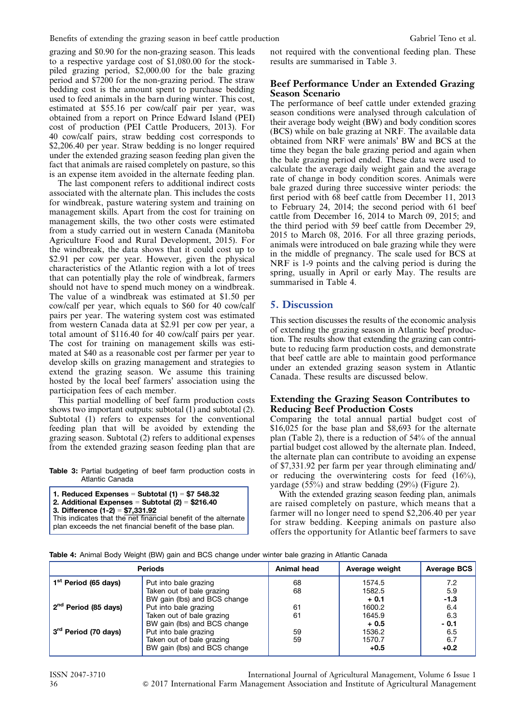<span id="page-4-0"></span>grazing and \$0.90 for the non-grazing season. This leads to a respective yardage cost of \$1,080.00 for the stockpiled grazing period, \$2,000.00 for the bale grazing period and \$7200 for the non-grazing period. The straw bedding cost is the amount spent to purchase bedding used to feed animals in the barn during winter. This cost, estimated at \$55.16 per cow/calf pair per year, was obtained from a report on Prince Edward Island (PEI) cost of production (PEI Cattle Producers, 2013). For 40 cow/calf pairs, straw bedding cost corresponds to \$2,206.40 per year. Straw bedding is no longer required under the extended grazing season feeding plan given the fact that animals are raised completely on pasture, so this is an expense item avoided in the alternate feeding plan.

The last component refers to additional indirect costs associated with the alternate plan. This includes the costs for windbreak, pasture watering system and training on management skills. Apart from the cost for training on management skills, the two other costs were estimated from a study carried out in western Canada (Manitoba Agriculture Food and Rural Development, 2015). For the windbreak, the data shows that it could cost up to \$2.91 per cow per year. However, given the physical characteristics of the Atlantic region with a lot of trees that can potentially play the role of windbreak, farmers should not have to spend much money on a windbreak. The value of a windbreak was estimated at \$1.50 per cow/calf per year, which equals to \$60 for 40 cow/calf pairs per year. The watering system cost was estimated from western Canada data at \$2.91 per cow per year, a total amount of \$116.40 for 40 cow/calf pairs per year. The cost for training on management skills was estimated at \$40 as a reasonable cost per farmer per year to develop skills on grazing management and strategies to extend the grazing season. We assume this training hosted by the local beef farmers' association using the participation fees of each member.

This partial modelling of beef farm production costs shows two important outputs: subtotal (1) and subtotal (2). Subtotal (1) refers to expenses for the conventional feeding plan that will be avoided by extending the grazing season. Subtotal (2) refers to additional expenses from the extended grazing season feeding plan that are

Table 3: Partial budgeting of beef farm production costs in Atlantic Canada

| 1. Reduced Expenses = Subtotal $(1)$ = \$7 548.32              |  |  |  |  |  |
|----------------------------------------------------------------|--|--|--|--|--|
| 2. Additional Expenses = Subtotal $(2)$ = \$216.40             |  |  |  |  |  |
| 3. Difference $(1-2) = $7,331.92$                              |  |  |  |  |  |
| This indicates that the net financial benefit of the alternate |  |  |  |  |  |
| plan exceeds the net financial benefit of the base plan.       |  |  |  |  |  |

not required with the conventional feeding plan. These results are summarised in Table 3.

### Beef Performance Under an Extended Grazing Season Scenario

The performance of beef cattle under extended grazing season conditions were analysed through calculation of their average body weight (BW) and body condition scores (BCS) while on bale grazing at NRF. The available data obtained from NRF were animals' BW and BCS at the time they began the bale grazing period and again when the bale grazing period ended. These data were used to calculate the average daily weight gain and the average rate of change in body condition scores. Animals were bale grazed during three successive winter periods: the first period with 68 beef cattle from December 11, 2013 to February 24, 2014; the second period with 61 beef cattle from December 16, 2014 to March 09, 2015; and the third period with 59 beef cattle from December 29, 2015 to March 08, 2016. For all three grazing periods, animals were introduced on bale grazing while they were in the middle of pregnancy. The scale used for BCS at NRF is 1-9 points and the calving period is during the spring, usually in April or early May. The results are summarised in Table 4.

# 5. Discussion

This section discusses the results of the economic analysis of extending the grazing season in Atlantic beef production. The results show that extending the grazing can contribute to reducing farm production costs, and demonstrate that beef cattle are able to maintain good performance under an extended grazing season system in Atlantic Canada. These results are discussed below.

### Extending the Grazing Season Contributes to Reducing Beef Production Costs

Comparing the total annual partial budget cost of \$16,025 for the base plan and \$8,693 for the alternate plan [\(Table 2](#page-3-0)), there is a reduction of 54% of the annual partial budget cost allowed by the alternate plan. Indeed, the alternate plan can contribute to avoiding an expense of \$7,331.92 per farm per year through eliminating and/ or reducing the overwintering costs for feed (16%), yardage (55%) and straw bedding (29%) ([Figure 2\)](#page-5-0).

With the extended grazing season feeding plan, animals are raised completely on pasture, which means that a farmer will no longer need to spend \$2,206.40 per year for straw bedding. Keeping animals on pasture also offers the opportunity for Atlantic beef farmers to save

Table 4: Animal Body Weight (BW) gain and BCS change under winter bale grazing in Atlantic Canada

|                                    | <b>Periods</b>               | Animal head | Average weight | <b>Average BCS</b> |
|------------------------------------|------------------------------|-------------|----------------|--------------------|
| 1 <sup>st</sup> Period (65 days)   | Put into bale grazing        |             | 1574.5         | 7.2                |
|                                    | Taken out of bale grazing    | 68          | 1582.5         | 5.9                |
|                                    | BW gain (lbs) and BCS change |             | $+0.1$         | $-1.3$             |
| 2 <sup>nd</sup> Period (85 days)   | Put into bale grazing        | 61          | 1600.2         | 6.4                |
|                                    | Taken out of bale grazing    | 61          | 1645.9         | 6.3                |
|                                    | BW gain (lbs) and BCS change |             | $+0.5$         | $-0.1$             |
| , 3 <sup>rd</sup> Period (70 days) | Put into bale grazing        | 59          | 1536.2         | 6.5                |
|                                    | Taken out of bale grazing    | 59          | 1570.7         | 6.7                |
|                                    | BW gain (lbs) and BCS change |             | $+0.5$         | $+0.2$             |

ISSN 2047-3710 International Journal of Agricultural Management, Volume 6 Issue 1 36 & 2017 International Farm Management Association and Institute of Agricultural Management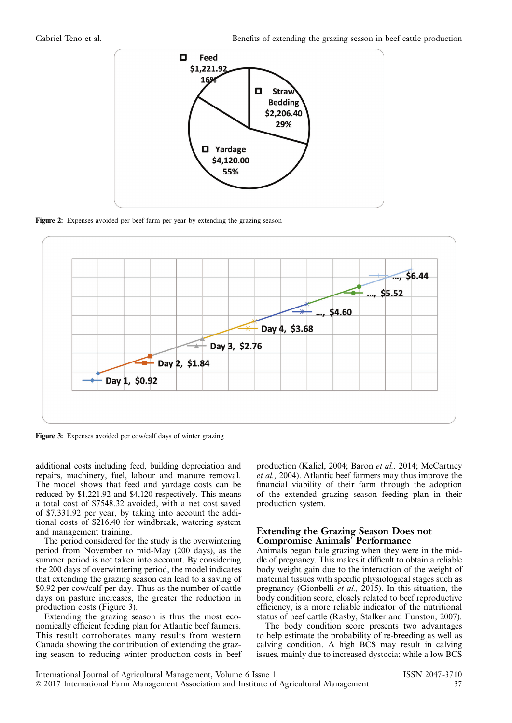<span id="page-5-0"></span>

Figure 2: Expenses avoided per beef farm per year by extending the grazing season



Figure 3: Expenses avoided per cow/calf days of winter grazing

additional costs including feed, building depreciation and repairs, machinery, fuel, labour and manure removal. The model shows that feed and yardage costs can be reduced by \$1,221.92 and \$4,120 respectively. This means a total cost of \$7548.32 avoided, with a net cost saved of \$7,331.92 per year, by taking into account the additional costs of \$216.40 for windbreak, watering system and management training.

The period considered for the study is the overwintering period from November to mid-May (200 days), as the summer period is not taken into account. By considering the 200 days of overwintering period, the model indicates that extending the grazing season can lead to a saving of \$0.92 per cow/calf per day. Thus as the number of cattle days on pasture increases, the greater the reduction in production costs (Figure 3).

Extending the grazing season is thus the most economically efficient feeding plan for Atlantic beef farmers. This result corroborates many results from western Canada showing the contribution of extending the grazing season to reducing winter production costs in beef production (Kaliel, 2004; Baron et al., 2014; McCartney et al., 2004). Atlantic beef farmers may thus improve the financial viability of their farm through the adoption of the extended grazing season feeding plan in their production system.

#### Extending the Grazing Season Does not Compromise Animals' Performance

Animals began bale grazing when they were in the middle of pregnancy. This makes it difficult to obtain a reliable body weight gain due to the interaction of the weight of maternal tissues with specific physiological stages such as pregnancy (Gionbelli et al., 2015). In this situation, the body condition score, closely related to beef reproductive efficiency, is a more reliable indicator of the nutritional status of beef cattle (Rasby, Stalker and Funston, 2007).

The body condition score presents two advantages to help estimate the probability of re-breeding as well as calving condition. A high BCS may result in calving issues, mainly due to increased dystocia; while a low BCS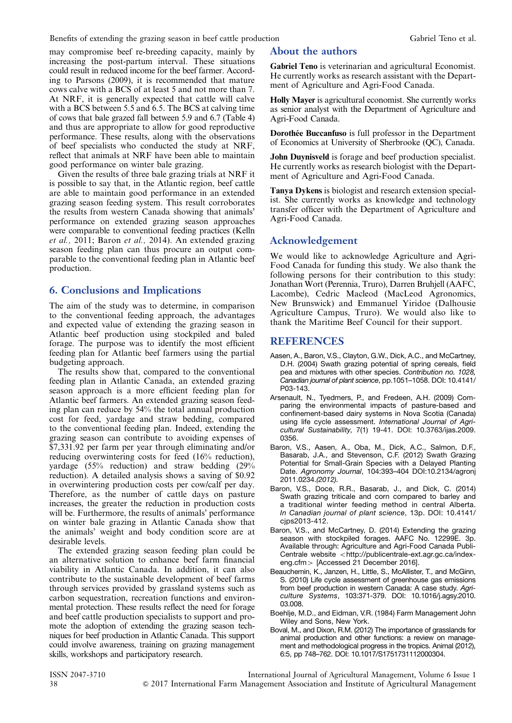may compromise beef re-breeding capacity, mainly by increasing the post-partum interval. These situations could result in reduced income for the beef farmer. According to Parsons (2009), it is recommended that mature cows calve with a BCS of at least 5 and not more than 7. At NRF, it is generally expected that cattle will calve with a BCS between 5.5 and 6.5. The BCS at calving time of cows that bale grazed fall between 5.9 and 6.7 [\(Table 4](#page-4-0)) and thus are appropriate to allow for good reproductive performance. These results, along with the observations of beef specialists who conducted the study at NRF, reflect that animals at NRF have been able to maintain good performance on winter bale grazing.

Given the results of three bale grazing trials at NRF it is possible to say that, in the Atlantic region, beef cattle are able to maintain good performance in an extended grazing season feeding system. This result corroborates the results from western Canada showing that animals' performance on extended grazing season approaches were comparable to conventional feeding practices (Kelln et al., 2011; Baron et al., 2014). An extended grazing season feeding plan can thus procure an output comparable to the conventional feeding plan in Atlantic beef production.

# 6. Conclusions and Implications

The aim of the study was to determine, in comparison to the conventional feeding approach, the advantages and expected value of extending the grazing season in Atlantic beef production using stockpiled and baled forage. The purpose was to identify the most efficient feeding plan for Atlantic beef farmers using the partial budgeting approach.

The results show that, compared to the conventional feeding plan in Atlantic Canada, an extended grazing season approach is a more efficient feeding plan for Atlantic beef farmers. An extended grazing season feeding plan can reduce by 54% the total annual production cost for feed, yardage and straw bedding, compared to the conventional feeding plan. Indeed, extending the grazing season can contribute to avoiding expenses of \$7,331.92 per farm per year through eliminating and/or reducing overwintering costs for feed (16% reduction), yardage (55% reduction) and straw bedding (29% reduction). A detailed analysis shows a saving of \$0.92 in overwintering production costs per cow/calf per day. Therefore, as the number of cattle days on pasture increases, the greater the reduction in production costs will be. Furthermore, the results of animals' performance on winter bale grazing in Atlantic Canada show that the animals' weight and body condition score are at desirable levels.

The extended grazing season feeding plan could be an alternative solution to enhance beef farm financial viability in Atlantic Canada. In addition, it can also contribute to the sustainable development of beef farms through services provided by grassland systems such as carbon sequestration, recreation functions and environmental protection. These results reflect the need for forage and beef cattle production specialists to support and promote the adoption of extending the grazing season techniques for beef production in Atlantic Canada. This support could involve awareness, training on grazing management skills, workshops and participatory research.

# About the authors

Gabriel Teno is veterinarian and agricultural Economist. He currently works as research assistant with the Department of Agriculture and Agri-Food Canada.

Holly Mayer is agricultural economist. She currently works as senior analyst with the Department of Agriculture and Agri-Food Canada.

Dorothée Buccanfuso is full professor in the Department of Economics at University of Sherbrooke (QC), Canada.

John Duynisveld is forage and beef production specialist. He currently works as research biologist with the Department of Agriculture and Agri-Food Canada.

Tanya Dykens is biologist and research extension specialist. She currently works as knowledge and technology transfer officer with the Department of Agriculture and Agri-Food Canada.

# Acknowledgement

We would like to acknowledge Agriculture and Agri-Food Canada for funding this study. We also thank the following persons for their contribution to this study: Jonathan Wort (Perennia, Truro), Darren Bruhjell (AAFC, Lacombe), Cedric Macleod (MacLeod Agronomics, New Brunswick) and Emmanuel Yiridoe (Dalhousie Agriculture Campus, Truro). We would also like to thank the Maritime Beef Council for their support.

# REFERENCES

- Aasen, A., Baron, V.S., Clayton, G.W., Dick, A.C., and McCartney, D.H. (2004) Swath grazing potential of spring cereals, field pea and mixtures with other species. Contribution no. 1028, Canadian journal of plant science, pp.1051–1058. DOI: 10.4141/ P03-143.
- Arsenault, N., Tyedmers, P., and Fredeen, A.H. (2009) Comparing the environmental impacts of pasture-based and confinement-based dairy systems in Nova Scotia (Canada) using life cycle assessment. International Journal of Agricultural Sustainability, 7(1) 19-41. DOI: 10.3763/ijas.2009. 0356.
- Baron, V.S., Aasen, A., Oba, M., Dick, A.C., Salmon, D.F., Basarab, J.A., and Stevenson, C.F. (2012) Swath Grazing Potential for Small-Grain Species with a Delayed Planting Date. Agronomy Journal, 104:393–404 DOI:10.2134/agronj 2011.0234.(2012).
- Baron, V.S., Doce, R.R., Basarab, J., and Dick, C. (2014) Swath grazing triticale and corn compared to barley and a traditional winter feeding method in central Alberta. In Canadian journal of plant science, 13p. DOI: 10.4141/ cjps2013-412.
- Baron, V.S., and McCartney, D. (2014) Extending the grazing season with stockpiled forages. AAFC No. 12299E. 3p. Available through: Agriculture and Agri-Food Canada PubliCentrale website <[http://publicentrale-ext.agr.gc.ca/index](http://publicentrale-ext.agr.gc.ca/index-eng.cfm)[eng.cfm](http://publicentrale-ext.agr.gc.ca/index-eng.cfm) > [Accessed 21 December 2016].
- Beauchemin, K., Janzen, H., Little, S., McAllister, T., and McGinn, S. (2010) Life cycle assessment of greenhouse gas emissions from beef production in western Canada: A case study. Agriculture Systems, 103:371-379. DOI: 10.1016/j.agsy.2010. 03.008.
- Boehlje, M.D., and Eidman, V.R. (1984) Farm Management John Wiley and Sons, New York.
- Boval, M., and Dixon, R.M. (2012) The importance of grasslands for animal production and other functions: a review on management and methodological progress in the tropics. Animal (2012), 6:5, pp 748–762. DOI: 10.1017/S1751731112000304.